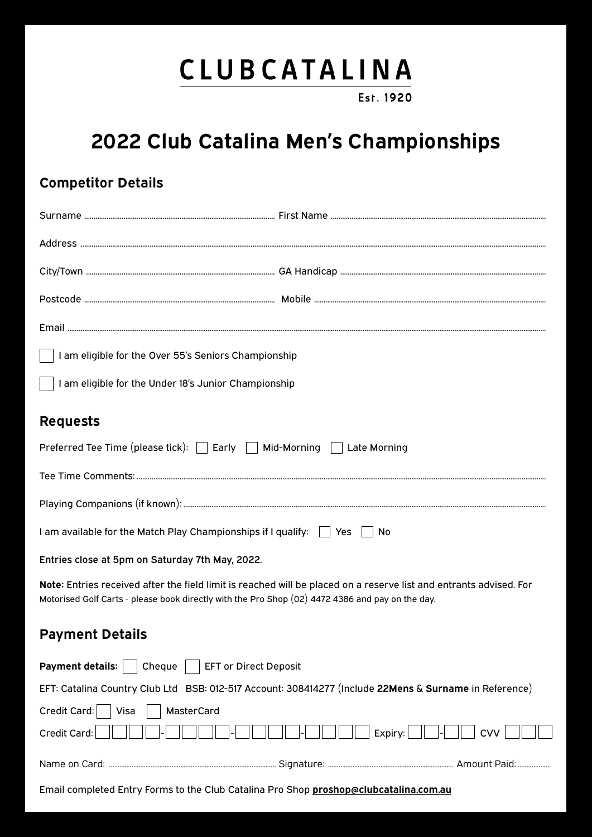## CLUBCATALINA

Est. 1920

## **2022 Club Catalina Men's Championships**

### **Competitor Details**

| $\vert$ $\vert$ I am eligible for the Over 55's Seniors Championship                                                                                                                                                   |                              |                |
|------------------------------------------------------------------------------------------------------------------------------------------------------------------------------------------------------------------------|------------------------------|----------------|
| I am eligible for the Under 18's Junior Championship                                                                                                                                                                   |                              |                |
| <b>Requests</b>                                                                                                                                                                                                        |                              |                |
| Preferred Tee Time (please tick): □ Early □ Mid-Morning □ Late Morning                                                                                                                                                 |                              |                |
|                                                                                                                                                                                                                        |                              |                |
|                                                                                                                                                                                                                        |                              |                |
| I am available for the Match Play Championships if I qualify: $\Box$ Yes $\Box$ No                                                                                                                                     |                              |                |
| Entries close at 5pm on Saturday 7th May, 2022.                                                                                                                                                                        |                              |                |
| Note: Entries received after the field limit is reached will be placed on a reserve list and entrants advised. For<br>Motorised Golf Carts - please book directly with the Pro Shop (02) 4472 4386 and pay on the day. |                              |                |
| <b>Payment Details</b>                                                                                                                                                                                                 |                              |                |
| <b>Payment details:</b><br>Cheque                                                                                                                                                                                      | <b>EFT or Direct Deposit</b> |                |
| EFT: Catalina Country Club Ltd BSB: 012-517 Account: 308414277 (Include 22Mens & Surname in Reference)                                                                                                                 |                              |                |
| Credit Card:<br>MasterCard<br>Visa<br>Credit Card:                                                                                                                                                                     |                              | CVV<br>Expiry: |
|                                                                                                                                                                                                                        |                              |                |
| Email completed Entry Forms to the Club Catalina Pro Shop proshop@clubcatalina.com.au                                                                                                                                  |                              |                |